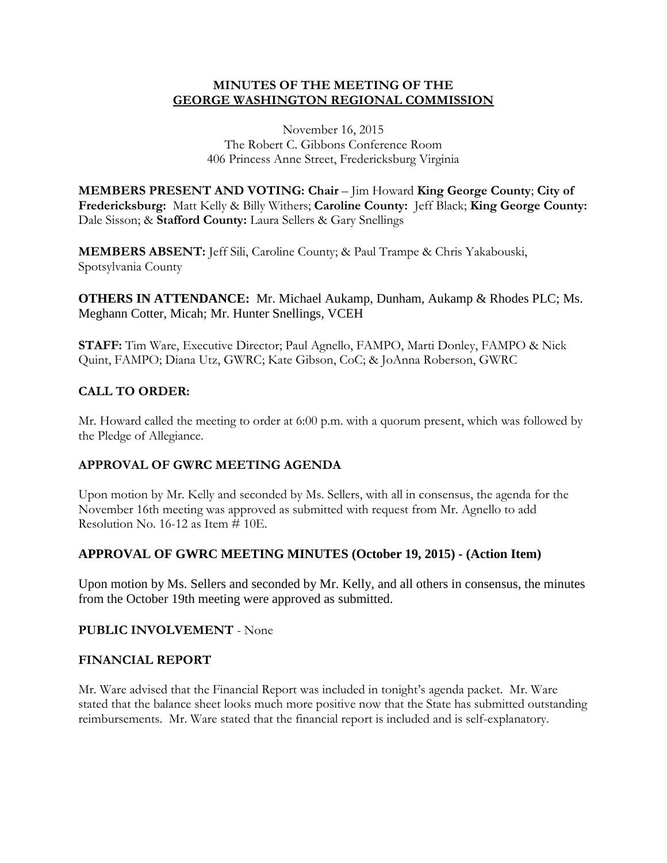### **MINUTES OF THE MEETING OF THE GEORGE WASHINGTON REGIONAL COMMISSION**

November 16, 2015 The Robert C. Gibbons Conference Room 406 Princess Anne Street, Fredericksburg Virginia

**MEMBERS PRESENT AND VOTING: Chair** – Jim Howard **King George County**; **City of Fredericksburg:** Matt Kelly & Billy Withers; **Caroline County:** Jeff Black; **King George County:**  Dale Sisson; & **Stafford County:** Laura Sellers & Gary Snellings

**MEMBERS ABSENT:** Jeff Sili, Caroline County; & Paul Trampe & Chris Yakabouski, Spotsylvania County

**OTHERS IN ATTENDANCE:** Mr. Michael Aukamp, Dunham, Aukamp & Rhodes PLC; Ms. Meghann Cotter, Micah; Mr. Hunter Snellings, VCEH

**STAFF:** Tim Ware, Executive Director; Paul Agnello, FAMPO, Marti Donley, FAMPO & Nick Quint, FAMPO; Diana Utz, GWRC; Kate Gibson, CoC; & JoAnna Roberson, GWRC

## **CALL TO ORDER:**

Mr. Howard called the meeting to order at 6:00 p.m. with a quorum present, which was followed by the Pledge of Allegiance.

### **APPROVAL OF GWRC MEETING AGENDA**

Upon motion by Mr. Kelly and seconded by Ms. Sellers, with all in consensus, the agenda for the November 16th meeting was approved as submitted with request from Mr. Agnello to add Resolution No. 16-12 as Item # 10E.

# **APPROVAL OF GWRC MEETING MINUTES (October 19, 2015) - (Action Item)**

Upon motion by Ms. Sellers and seconded by Mr. Kelly, and all others in consensus, the minutes from the October 19th meeting were approved as submitted.

### **PUBLIC INVOLVEMENT** - None

### **FINANCIAL REPORT**

Mr. Ware advised that the Financial Report was included in tonight's agenda packet. Mr. Ware stated that the balance sheet looks much more positive now that the State has submitted outstanding reimbursements. Mr. Ware stated that the financial report is included and is self-explanatory.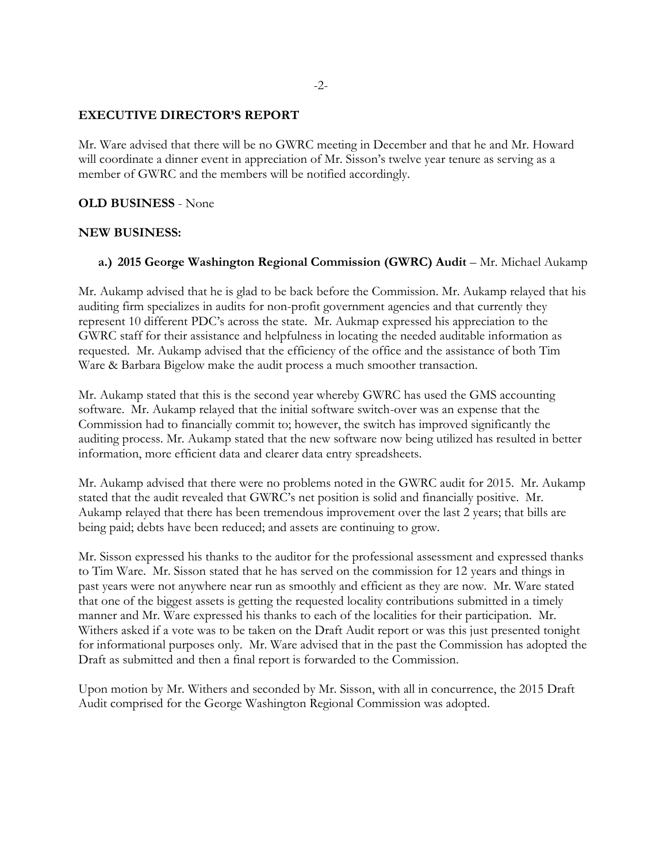### **EXECUTIVE DIRECTOR'S REPORT**

Mr. Ware advised that there will be no GWRC meeting in December and that he and Mr. Howard will coordinate a dinner event in appreciation of Mr. Sisson's twelve year tenure as serving as a member of GWRC and the members will be notified accordingly.

### **OLD BUSINESS** - None

#### **NEW BUSINESS:**

### **a.) 2015 George Washington Regional Commission (GWRC) Audit** – Mr. Michael Aukamp

Mr. Aukamp advised that he is glad to be back before the Commission. Mr. Aukamp relayed that his auditing firm specializes in audits for non-profit government agencies and that currently they represent 10 different PDC's across the state. Mr. Aukmap expressed his appreciation to the GWRC staff for their assistance and helpfulness in locating the needed auditable information as requested. Mr. Aukamp advised that the efficiency of the office and the assistance of both Tim Ware & Barbara Bigelow make the audit process a much smoother transaction.

Mr. Aukamp stated that this is the second year whereby GWRC has used the GMS accounting software. Mr. Aukamp relayed that the initial software switch-over was an expense that the Commission had to financially commit to; however, the switch has improved significantly the auditing process. Mr. Aukamp stated that the new software now being utilized has resulted in better information, more efficient data and clearer data entry spreadsheets.

Mr. Aukamp advised that there were no problems noted in the GWRC audit for 2015. Mr. Aukamp stated that the audit revealed that GWRC's net position is solid and financially positive. Mr. Aukamp relayed that there has been tremendous improvement over the last 2 years; that bills are being paid; debts have been reduced; and assets are continuing to grow.

Mr. Sisson expressed his thanks to the auditor for the professional assessment and expressed thanks to Tim Ware. Mr. Sisson stated that he has served on the commission for 12 years and things in past years were not anywhere near run as smoothly and efficient as they are now. Mr. Ware stated that one of the biggest assets is getting the requested locality contributions submitted in a timely manner and Mr. Ware expressed his thanks to each of the localities for their participation. Mr. Withers asked if a vote was to be taken on the Draft Audit report or was this just presented tonight for informational purposes only. Mr. Ware advised that in the past the Commission has adopted the Draft as submitted and then a final report is forwarded to the Commission.

Upon motion by Mr. Withers and seconded by Mr. Sisson, with all in concurrence, the 2015 Draft Audit comprised for the George Washington Regional Commission was adopted.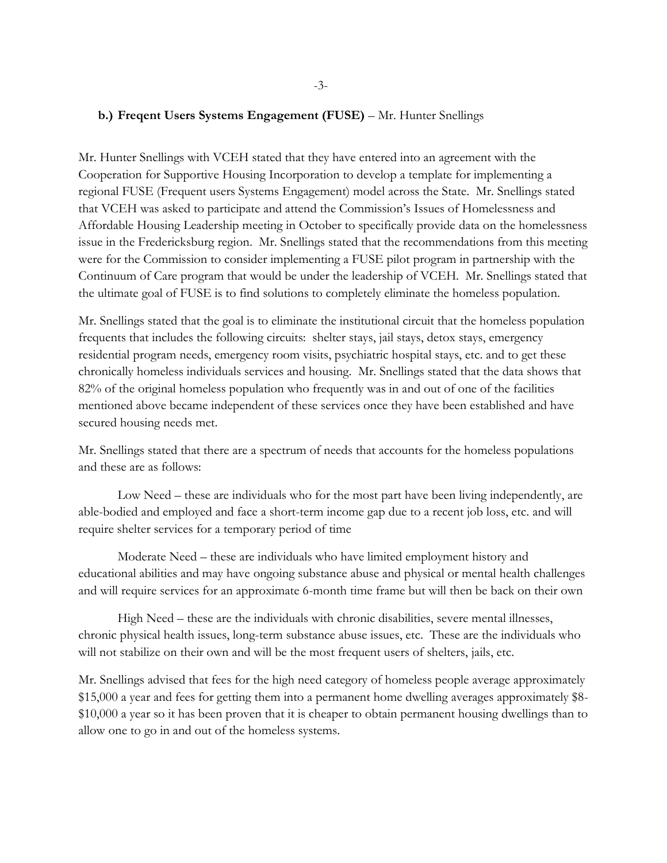#### **b.) Freqent Users Systems Engagement (FUSE)** – Mr. Hunter Snellings

Mr. Hunter Snellings with VCEH stated that they have entered into an agreement with the Cooperation for Supportive Housing Incorporation to develop a template for implementing a regional FUSE (Frequent users Systems Engagement) model across the State. Mr. Snellings stated that VCEH was asked to participate and attend the Commission's Issues of Homelessness and Affordable Housing Leadership meeting in October to specifically provide data on the homelessness issue in the Fredericksburg region. Mr. Snellings stated that the recommendations from this meeting were for the Commission to consider implementing a FUSE pilot program in partnership with the Continuum of Care program that would be under the leadership of VCEH. Mr. Snellings stated that the ultimate goal of FUSE is to find solutions to completely eliminate the homeless population.

Mr. Snellings stated that the goal is to eliminate the institutional circuit that the homeless population frequents that includes the following circuits: shelter stays, jail stays, detox stays, emergency residential program needs, emergency room visits, psychiatric hospital stays, etc. and to get these chronically homeless individuals services and housing. Mr. Snellings stated that the data shows that 82% of the original homeless population who frequently was in and out of one of the facilities mentioned above became independent of these services once they have been established and have secured housing needs met.

Mr. Snellings stated that there are a spectrum of needs that accounts for the homeless populations and these are as follows:

Low Need – these are individuals who for the most part have been living independently, are able-bodied and employed and face a short-term income gap due to a recent job loss, etc. and will require shelter services for a temporary period of time

Moderate Need – these are individuals who have limited employment history and educational abilities and may have ongoing substance abuse and physical or mental health challenges and will require services for an approximate 6-month time frame but will then be back on their own

High Need – these are the individuals with chronic disabilities, severe mental illnesses, chronic physical health issues, long-term substance abuse issues, etc. These are the individuals who will not stabilize on their own and will be the most frequent users of shelters, jails, etc.

Mr. Snellings advised that fees for the high need category of homeless people average approximately \$15,000 a year and fees for getting them into a permanent home dwelling averages approximately \$8- \$10,000 a year so it has been proven that it is cheaper to obtain permanent housing dwellings than to allow one to go in and out of the homeless systems.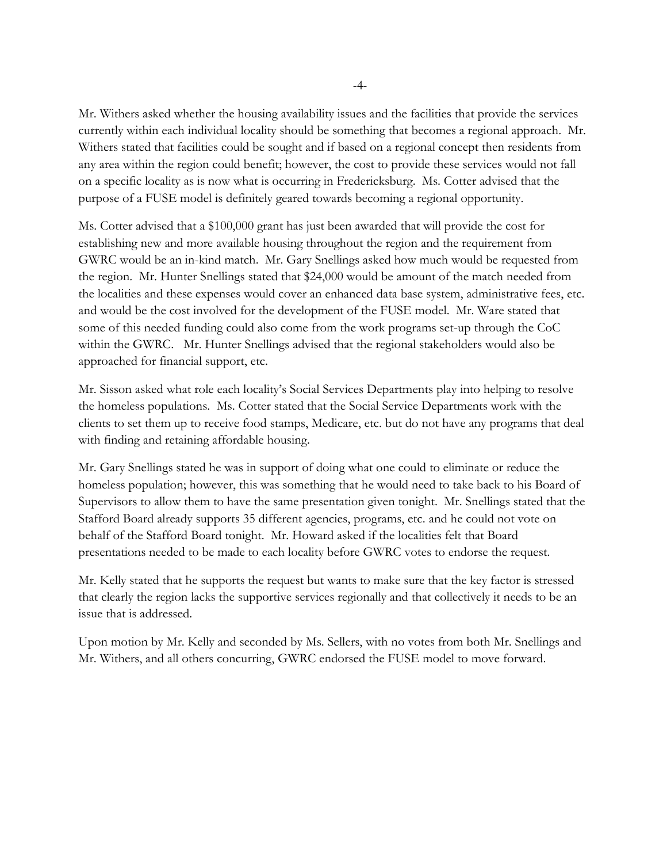Mr. Withers asked whether the housing availability issues and the facilities that provide the services currently within each individual locality should be something that becomes a regional approach. Mr. Withers stated that facilities could be sought and if based on a regional concept then residents from any area within the region could benefit; however, the cost to provide these services would not fall on a specific locality as is now what is occurring in Fredericksburg. Ms. Cotter advised that the purpose of a FUSE model is definitely geared towards becoming a regional opportunity.

Ms. Cotter advised that a \$100,000 grant has just been awarded that will provide the cost for establishing new and more available housing throughout the region and the requirement from GWRC would be an in-kind match. Mr. Gary Snellings asked how much would be requested from the region. Mr. Hunter Snellings stated that \$24,000 would be amount of the match needed from the localities and these expenses would cover an enhanced data base system, administrative fees, etc. and would be the cost involved for the development of the FUSE model. Mr. Ware stated that some of this needed funding could also come from the work programs set-up through the CoC within the GWRC. Mr. Hunter Snellings advised that the regional stakeholders would also be approached for financial support, etc.

Mr. Sisson asked what role each locality's Social Services Departments play into helping to resolve the homeless populations. Ms. Cotter stated that the Social Service Departments work with the clients to set them up to receive food stamps, Medicare, etc. but do not have any programs that deal with finding and retaining affordable housing.

Mr. Gary Snellings stated he was in support of doing what one could to eliminate or reduce the homeless population; however, this was something that he would need to take back to his Board of Supervisors to allow them to have the same presentation given tonight. Mr. Snellings stated that the Stafford Board already supports 35 different agencies, programs, etc. and he could not vote on behalf of the Stafford Board tonight. Mr. Howard asked if the localities felt that Board presentations needed to be made to each locality before GWRC votes to endorse the request.

Mr. Kelly stated that he supports the request but wants to make sure that the key factor is stressed that clearly the region lacks the supportive services regionally and that collectively it needs to be an issue that is addressed.

Upon motion by Mr. Kelly and seconded by Ms. Sellers, with no votes from both Mr. Snellings and Mr. Withers, and all others concurring, GWRC endorsed the FUSE model to move forward.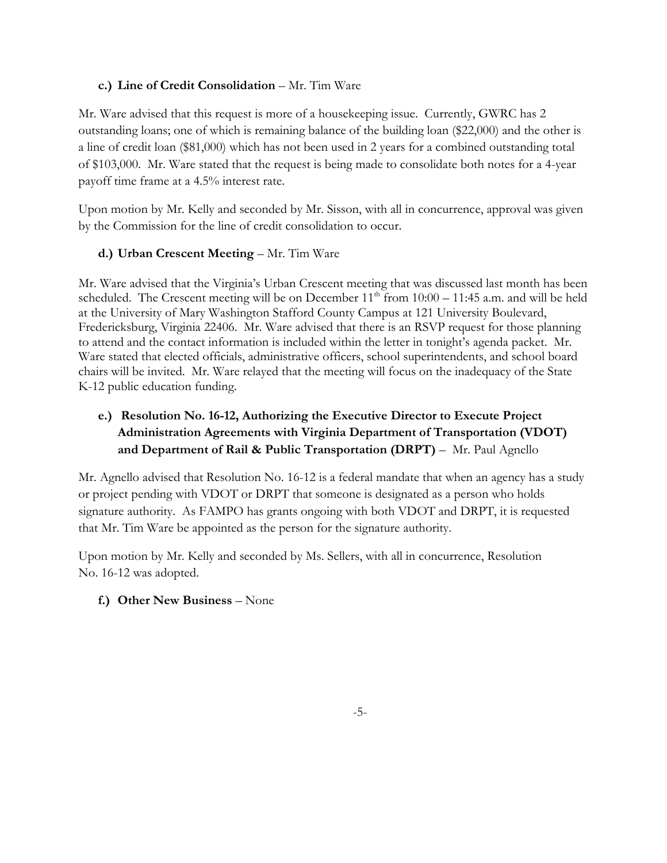## **c.) Line of Credit Consolidation** – Mr. Tim Ware

Mr. Ware advised that this request is more of a housekeeping issue. Currently, GWRC has 2 outstanding loans; one of which is remaining balance of the building loan (\$22,000) and the other is a line of credit loan (\$81,000) which has not been used in 2 years for a combined outstanding total of \$103,000. Mr. Ware stated that the request is being made to consolidate both notes for a 4-year payoff time frame at a 4.5% interest rate.

Upon motion by Mr. Kelly and seconded by Mr. Sisson, with all in concurrence, approval was given by the Commission for the line of credit consolidation to occur.

## **d.) Urban Crescent Meeting** – Mr. Tim Ware

Mr. Ware advised that the Virginia's Urban Crescent meeting that was discussed last month has been scheduled. The Crescent meeting will be on December  $11<sup>th</sup>$  from  $10:00 - 11:45$  a.m. and will be held at the University of Mary Washington Stafford County Campus at 121 University Boulevard, Fredericksburg, Virginia 22406. Mr. Ware advised that there is an RSVP request for those planning to attend and the contact information is included within the letter in tonight's agenda packet. Mr. Ware stated that elected officials, administrative officers, school superintendents, and school board chairs will be invited. Mr. Ware relayed that the meeting will focus on the inadequacy of the State K-12 public education funding.

# **e.) Resolution No. 16-12, Authorizing the Executive Director to Execute Project Administration Agreements with Virginia Department of Transportation (VDOT) and Department of Rail & Public Transportation (DRPT)** – Mr. Paul Agnello

Mr. Agnello advised that Resolution No. 16-12 is a federal mandate that when an agency has a study or project pending with VDOT or DRPT that someone is designated as a person who holds signature authority. As FAMPO has grants ongoing with both VDOT and DRPT, it is requested that Mr. Tim Ware be appointed as the person for the signature authority.

Upon motion by Mr. Kelly and seconded by Ms. Sellers, with all in concurrence, Resolution No. 16-12 was adopted.

# **f.) Other New Business** – None